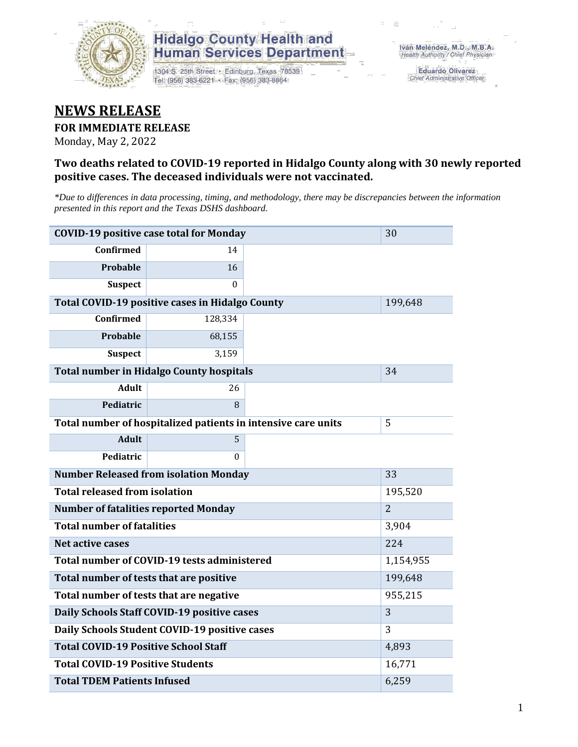

## **Hidalgo County Health and Human Services Department**

1304 S. 25th Street · Edinburg, Texas 78539 Tel: (956) 383-6221 · Fax: (956) 383-8864

**Eduardo Olivarez** Chief Administrative Officer

# **NEWS RELEASE**

#### **FOR IMMEDIATE RELEASE**

Monday, May 2, 2022

#### **Two deaths related to COVID-19 reported in Hidalgo County along with 30 newly reported positive cases. The deceased individuals were not vaccinated.**

*\*Due to differences in data processing, timing, and methodology, there may be discrepancies between the information presented in this report and the Texas DSHS dashboard.*

| <b>COVID-19 positive case total for Monday</b>  | 30                                                            |           |                |
|-------------------------------------------------|---------------------------------------------------------------|-----------|----------------|
| <b>Confirmed</b>                                | 14                                                            |           |                |
| Probable                                        | 16                                                            |           |                |
| <b>Suspect</b>                                  | $\Omega$                                                      |           |                |
| Total COVID-19 positive cases in Hidalgo County |                                                               | 199,648   |                |
| Confirmed                                       | 128,334                                                       |           |                |
| Probable                                        | 68,155                                                        |           |                |
| <b>Suspect</b>                                  | 3,159                                                         |           |                |
|                                                 | <b>Total number in Hidalgo County hospitals</b>               |           | 34             |
| <b>Adult</b>                                    | 26                                                            |           |                |
| Pediatric                                       | 8                                                             |           |                |
|                                                 | Total number of hospitalized patients in intensive care units | 5         |                |
| <b>Adult</b>                                    | 5                                                             |           |                |
| Pediatric                                       | 0                                                             |           |                |
| <b>Number Released from isolation Monday</b>    |                                                               | 33        |                |
| <b>Total released from isolation</b>            |                                                               |           | 195,520        |
| <b>Number of fatalities reported Monday</b>     |                                                               |           | $\overline{2}$ |
| <b>Total number of fatalities</b>               |                                                               | 3,904     |                |
| Net active cases                                |                                                               |           | 224            |
| Total number of COVID-19 tests administered     |                                                               | 1,154,955 |                |
| Total number of tests that are positive         |                                                               | 199,648   |                |
| Total number of tests that are negative         |                                                               | 955,215   |                |
| Daily Schools Staff COVID-19 positive cases     |                                                               | 3         |                |
| Daily Schools Student COVID-19 positive cases   | 3                                                             |           |                |
| <b>Total COVID-19 Positive School Staff</b>     | 4,893                                                         |           |                |
| <b>Total COVID-19 Positive Students</b>         | 16,771                                                        |           |                |
| <b>Total TDEM Patients Infused</b>              | 6,259                                                         |           |                |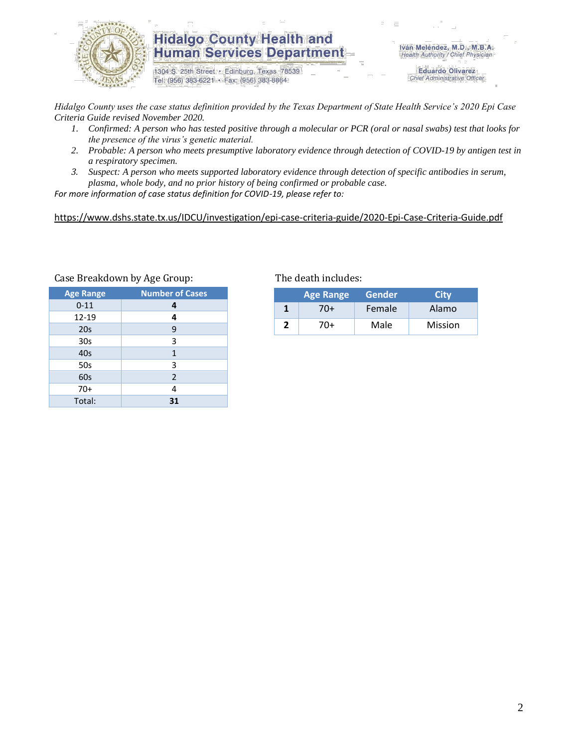

### **Hidalgo County Health and Human Services Department**

1304 S. 25th Street · Edinburg, Texas 78539 Tel: (956) 383-6221 · Fax: (956) 383-8864

Iván Meléndez, M.D., M.B.A. Health Authority / Chief Physician

> **Eduardo Olivarez** Chief Administrative Officer

*Hidalgo County uses the case status definition provided by the Texas Department of State Health Service's 2020 Epi Case Criteria Guide revised November 2020.*

- *1. Confirmed: A person who has tested positive through a molecular or PCR (oral or nasal swabs) test that looks for the presence of the virus's genetic material.*
- *2. Probable: A person who meets presumptive laboratory evidence through detection of COVID-19 by antigen test in a respiratory specimen.*
- *3. Suspect: A person who meets supported laboratory evidence through detection of specific antibodies in serum, plasma, whole body, and no prior history of being confirmed or probable case.*

*For more information of case status definition for COVID-19, please refer to:*

<https://www.dshs.state.tx.us/IDCU/investigation/epi-case-criteria-guide/2020-Epi-Case-Criteria-Guide.pdf>

| <b>Age Range</b> | <b>Number of Cases</b> |  |  |
|------------------|------------------------|--|--|
| $0 - 11$         | 4                      |  |  |
| 12-19            | 4                      |  |  |
| 20s              | 9                      |  |  |
| 30 <sub>s</sub>  | 3                      |  |  |
| 40s              | $\mathbf{1}$           |  |  |
| 50s              | 3                      |  |  |
| 60s              | $\overline{2}$         |  |  |
| $70+$            | 4                      |  |  |
| Total:           | 31                     |  |  |

Case Breakdown by Age Group: The death includes:

| <b>Age Range</b> |     | <b>Gender</b> | <b>City</b>    |  |
|------------------|-----|---------------|----------------|--|
|                  | 70+ | Female        | Alamo          |  |
|                  | 70+ | Male          | <b>Mission</b> |  |